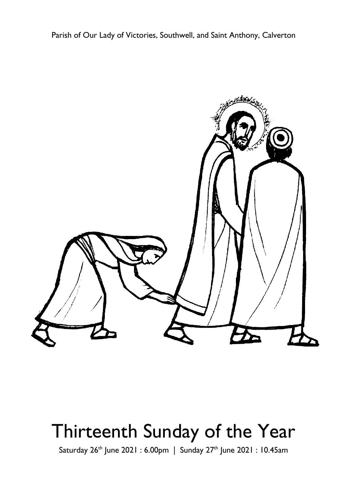Parish of Our Lady of Victories, Southwell, and Saint Anthony, Calverton



# Thirteenth Sunday of the Year

Saturday 26<sup>th</sup> June 2021: 6.00pm | Sunday 27<sup>th</sup> June 2021: 10.45am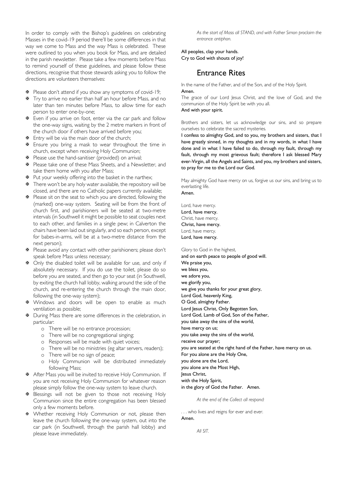In order to comply with the Bishop's guidelines on celebrating Masses in the covid-19 period there'll be some differences in that way we come to Mass and the way Mass is celebrated. These were outlined to you when you book for Mass, and are detailed in the parish newsletter. Please take a few moments before Mass to remind yourself of these guidelines, and please follow these directions, recognise that those stewards asking you to follow the directions are volunteers themselves:

- X Please don't attend if you show any symptoms of covid-19;
- X Try to arrive no earlier than half an hour before Mass, and no later than ten minutes before Mass, to allow time for each person to enter one-by-one;
- X Even if you arrive on foot, enter via the car park and follow the one-way signs, waiting by the 2 metre markers in front of the church door if others have arrived before you;
- X Entry will be via the main door of the church;
- Ensure you bring a mask to wear throughout the time in church, except when receiving Holy Communion;
- X Please use the hand-sanitiser (provided) on arrival;
- X Please take one of these Mass Sheets, and a Newsletter, and take them home with you after Mass;
- X Put your weekly offering into the basket in the narthex;
- X There won't be any holy water available, the repository will be closed, and there are no Catholic papers currently available;
- X Please sit on the seat to which you are directed, following the (marked) one-way system. Seating will be from the front of church first, and parishioners will be seated at two-metre intervals (in Southwell it might be possible to seat couples next to each other, and families in a single pew; in Calverton the chairs have been laid out singularly, and so each person, except for babes-in-arms, will be at a two-metre distance from the next person);
- X Please avoid any contact with other parishioners; please don't speak before Mass unless necessary;
- X Only the disabled toilet will be available for use, and only if absolutely necessary. If you do use the toilet, please do so before you are seated, and then go to your seat (in Southwell, by exiting the church hall lobby, walking around the side of the church, and re-entering the church through the main door, following the one-way system);
- X Windows and doors will be open to enable as much ventilation as possible;
- X During Mass there are some differences in the celebration, in particular:
	- o There will be no entrance procession;
	- o There will be no congregational singing;
	- o Responses will be made with quiet voices;
	- o There will be no ministries (eg altar servers, readers);
	- o There will be no sign of peace;
	- o Holy Communion will be distributed immediately following Mass;
- X After Mass you will be invited to receive Holy Communion. If you are not receiving Holy Communion for whatever reason please simply follow the one-way system to leave church.
- X Blessings will not be given to those not receiving Holy Communion since the entire congregation has been blessed only a few moments before.
- X Whether receiving Holy Communion or not, please then leave the church following the one-way system, out into the car park (in Southwell, through the parish hall lobby) and please leave immediately.

*As the start of Mass all STAND, and with Father Simon proclaim the entrance antiphon.*

#### All peoples, clap your hands. Cry to God with shouts of ioy!

# **Fntrance Rites**

In the name of the Father, and of the Son, and of the Holy Spirit. Amen

The grace of our Lord Jesus Christ, and the love of God, and the communion of the Holy Spirit be with you all.

#### And with your spirit.

Brothers and sisters, let us acknowledge our sins, and so prepare ourselves to celebrate the sacred mysteries.

I confess to almighty God, and to you, my brothers and sisters, that I have greatly sinned, in my thoughts and in my words, in what I have done and in what I have failed to do, through my fault, through my fault, through my most grievous fault; therefore I ask blessed Mary ever-Virgin, all the Angels and Saints, and you, my brothers and sisters, to pray for me to the Lord our God.

May almighty God have mercy on us, forgive us our sins, and bring us to everlasting life.  $A$ men

Lord, have mercy. Lord, have mercy. Christ, have mercy. Christ, have mercy. Lord, have mercy. Lord, have mercy.

Glory to God in the highest,

and on earth peace to people of good will. We praise you, we bless you, we adore you, we glorify you, we give you thanks for your great glory, Lord God, heavenly King, O God, almighty Father. Lord Jesus Christ, Only Begotten Son, Lord God, Lamb of God, Son of the Father, you take away the sins of the world. have mercy on us; you take away the sins of the world. receive our prayer; you are seated at the right hand of the Father, have mercy on us. For you alone are the Holy One, you alone are the Lord, you alone are the Most High, lesus Christ. with the Holy Spirit. in the glory of God the Father. Amen.

*At the end of the Collect all respond:*

. . . who lives and reigns for ever and ever. Amen

*All SIT.*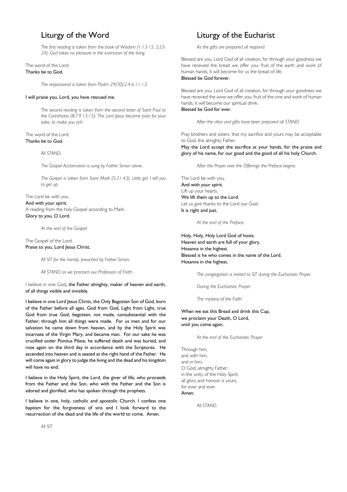# Liturgy of the Word

*The first reading is taken from the book of Wisdom (1:13-15. 2:23- 24): God takes no pleasure in the extinction of the living.*

#### The word of the Lord. Thanks he to God

*The responsorial is taken from Psalm 29(30):2.4-6.11-13:*

#### I will praise you, Lord, you have rescued me.

*The second reading is taken from the second letter of Saint Paul to the Corinthians (8:7.9.13-15): The Lord Jesus became poor for your sake, to make you rich.*

#### The word of the Lord. Thanks he to God

#### *All STAND.*

*The Gospel Acclamation is sung by Father Simon alone.*

*The Gospel is taken from Saint Mark (5:21-43): Little girl, I tell you to get up.*

#### The Lord be with you. And with your spirit. A reading from the holy Gospel according to Mark. Glory to you, O Lord.

*At the end of the Gospel:*

#### The Gospel of the Lord. Praise to you, Lord Jesus Christ.

*All SIT for the homily, preached by Father Simon.*

*All STAND as we proclaim our Profession of Faith:*

I believe in one God, the Father almighty, maker of heaven and earth, of all things visible and invisible.

I believe in one Lord Jesus Christ, the Only Begotten Son of God, born of the Father before all ages. God from God, Light from Light, true God from true God, begotten, not made, consubstantial with the Father; through him all things were made. For us men and for our salvation he came down from heaven, and by the Holy Spirit was incarnate of the Virgin Mary, and became man. For our sake he was crucified under Pontius Pilate, he suffered death and was buried, and rose again on the third day in accordance with the Scriptures. He ascended into heaven and is seated at the right hand of the Father. He will come again in glory to judge the living and the dead and his kingdom will have no end.

I believe in the Holy Spirit, the Lord, the giver of life, who proceeds from the Father and the Son, who with the Father and the Son is adored and glorified, who has spoken through the prophets.

I believe in one, holy, catholic and apostolic Church. I confess one baptism for the forgiveness of sins and I look forward to the resurrection of the dead and the life of the world to come. Amen.

*All SIT.*

# Liturgy of the Eucharist

*As the gifts are prepared all respond:*

Blessed are you, Lord God of all creation, for through your goodness we have received the bread we offer you: fruit of the earth and work of human hands, it will become for us the bread of life.

### Blessed be God forever.

Blessed are you, Lord God of all creation, for through your goodness we have received the wine we offer you: fruit of the vine and work of human hands, it will become our spiritual drink. Blessed be God for ever.

*After the altar and gifts have been prepared all STAND:*

Pray brothers and sisters, that my sacrifice and yours may be acceptable to God, the almighty Father.

May the Lord accept the sacrifice at your hands, for the praise and glory of his name, for our good and the good of all his holy Church.

*After the Prayer over the Offerings the Preface begins:*

The Lord be with you. And with your spirit. Lift up your hearts. We lift them up to the Lord. Let us give thanks to the Lord our God. It is right and just.

*At the end of the Preface:*

Holy, Holy, Holy Lord God of hosts. Heaven and earth are full of your glory. Hosanna in the highest. Blessed is he who comes in the name of the Lord. Hosanna in the highest.

*The congregation is invited to SIT during the Eucharistic Prayer.*

*During the Eucharistic Prayer:*

*The mystery of the Faith:*

#### When we eat this Bread and drink this Cup, we proclaim your Death, O Lord, until you come again.

*At the end of the Eucharistic Prayer:*

Through him, and with him, and in him, O God, almighty Father, in the unity of the Holy Spirit, all glory and honour is yours, for ever and ever.  $A$ mon

*All STAND.*